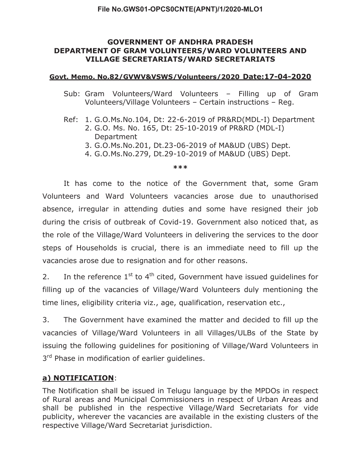### **GOVERNMENT OF ANDHRA PRADESH DEPARTMENT OF GRAM VOLUNTEERS/WARD VOLUNTEERS AND VILLAGE SECRETARIATS/WARD SECRETARIATS**

### **Govt. Memo. No.82/GVWV&VSWS/Volunteers/2020 Date:17-04-2020**

- Sub: Gram Volunteers/Ward Volunteers Filling up of Gram Volunteers/Village Volunteers – Certain instructions – Reg.
- Ref: 1. G.O.Ms.No.104, Dt: 22-6-2019 of PR&RD(MDL-I) Department
	- 2. G.O. Ms. No. 165, Dt: 25-10-2019 of PR&RD (MDL-I) Department
	- 3. G.O.Ms.No.201, Dt.23-06-2019 of MA&UD (UBS) Dept.
	- 4. G.O.Ms.No.279, Dt.29-10-2019 of MA&UD (UBS) Dept.

#### **\*\*\***

 It has come to the notice of the Government that, some Gram Volunteers and Ward Volunteers vacancies arose due to unauthorised absence, irregular in attending duties and some have resigned their job during the crisis of outbreak of Covid-19. Government also noticed that, as the role of the Village/Ward Volunteers in delivering the services to the door steps of Households is crucial, there is an immediate need to fill up the vacancies arose due to resignation and for other reasons.

2. In the reference  $1^{st}$  to  $4^{th}$  cited, Government have issued quidelines for filling up of the vacancies of Village/Ward Volunteers duly mentioning the time lines, eligibility criteria viz., age, qualification, reservation etc.,

3. The Government have examined the matter and decided to fill up the vacancies of Village/Ward Volunteers in all Villages/ULBs of the State by issuing the following guidelines for positioning of Village/Ward Volunteers in 3<sup>rd</sup> Phase in modification of earlier guidelines.

# **a) NOTIFICATION**:

The Notification shall be issued in Telugu language by the MPDOs in respect of Rural areas and Municipal Commissioners in respect of Urban Areas and shall be published in the respective Village/Ward Secretariats for vide publicity, wherever the vacancies are available in the existing clusters of the respective Village/Ward Secretariat jurisdiction.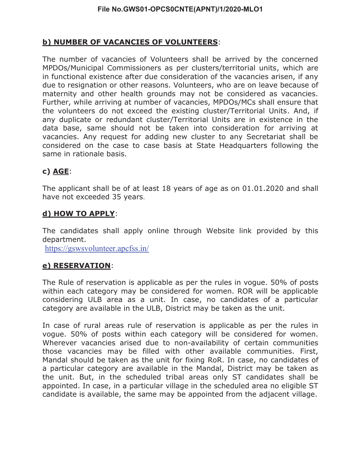# **b) NUMBER OF VACANCIES OF VOLUNTEERS**:

The number of vacancies of Volunteers shall be arrived by the concerned MPDOs/Municipal Commissioners as per clusters/territorial units, which are in functional existence after due consideration of the vacancies arisen, if any due to resignation or other reasons. Volunteers, who are on leave because of maternity and other health grounds may not be considered as vacancies. Further, while arriving at number of vacancies, MPDOs/MCs shall ensure that the volunteers do not exceed the existing cluster/Territorial Units. And, if any duplicate or redundant cluster/Territorial Units are in existence in the data base, same should not be taken into consideration for arriving at vacancies. Any request for adding new cluster to any Secretariat shall be considered on the case to case basis at State Headquarters following the same in rationale basis.

# **c) AGE**:

The applicant shall be of at least 18 years of age as on 01.01.2020 and shall have not exceeded 35 years.

# **d) HOW TO APPLY**:

The candidates shall apply online through Website link provided by this department.

https://gswsvolunteer.apcfss.in/

# **e) RESERVATION**:

The Rule of reservation is applicable as per the rules in vogue. 50% of posts within each category may be considered for women. ROR will be applicable considering ULB area as a unit. In case, no candidates of a particular category are available in the ULB, District may be taken as the unit.

In case of rural areas rule of reservation is applicable as per the rules in vogue. 50% of posts within each category will be considered for women. Wherever vacancies arised due to non-availability of certain communities those vacancies may be filled with other available communities. First, Mandal should be taken as the unit for fixing RoR. In case, no candidates of a particular category are available in the Mandal, District may be taken as the unit. But, in the scheduled tribal areas only ST candidates shall be appointed. In case, in a particular village in the scheduled area no eligible ST candidate is available, the same may be appointed from the adjacent village.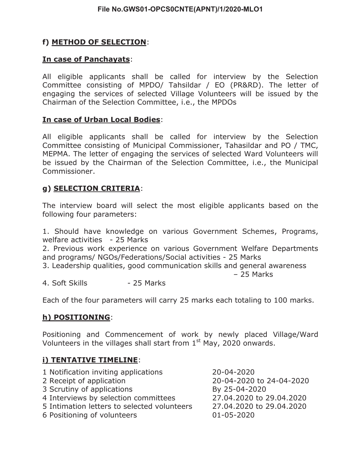# **f) METHOD OF SELECTION**:

## **In case of Panchayats**:

All eligible applicants shall be called for interview by the Selection Committee consisting of MPDO/ Tahsildar / EO (PR&RD). The letter of engaging the services of selected Village Volunteers will be issued by the Chairman of the Selection Committee, i.e., the MPDOs

### **In case of Urban Local Bodies**:

All eligible applicants shall be called for interview by the Selection Committee consisting of Municipal Commissioner, Tahasildar and PO / TMC, MEPMA. The letter of engaging the services of selected Ward Volunteers will be issued by the Chairman of the Selection Committee, i.e., the Municipal Commissioner.

### **g) SELECTION CRITERIA**:

The interview board will select the most eligible applicants based on the following four parameters:

1. Should have knowledge on various Government Schemes, Programs, welfare activities - 25 Marks

2. Previous work experience on various Government Welfare Departments and programs/ NGOs/Federations/Social activities - 25 Marks

- 3. Leadership qualities, good communication skills and general awareness – 25 Marks
- 4. Soft Skills 25 Marks

Each of the four parameters will carry 25 marks each totaling to 100 marks.

# **h) POSITIONING**:

Positioning and Commencement of work by newly placed Village/Ward Volunteers in the villages shall start from  $1<sup>st</sup>$  May, 2020 onwards.

### **i) TENTATIVE TIMELINE**:

| 1 Notification inviting applications        | 20-04-2020               |
|---------------------------------------------|--------------------------|
| 2 Receipt of application                    | 20-04-2020 to 24-04-2020 |
| 3 Scrutiny of applications                  | By 25-04-2020            |
| 4 Interviews by selection committees        | 27.04.2020 to 29.04.2020 |
| 5 Intimation letters to selected volunteers | 27.04.2020 to 29.04.2020 |
| 6 Positioning of volunteers                 | $01 - 05 - 2020$         |